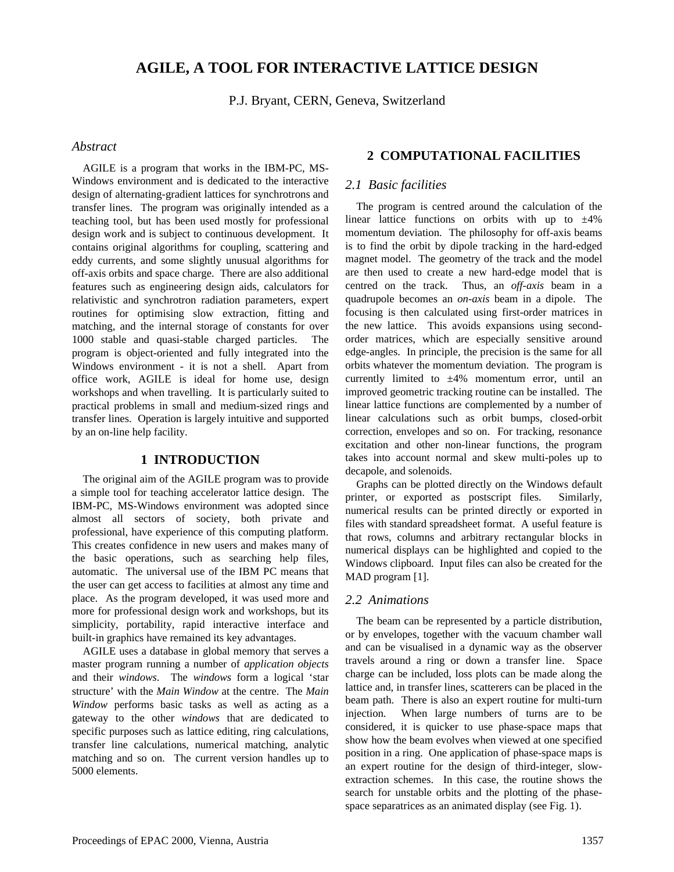# **AGILE, A TOOL FOR INTERACTIVE LATTICE DESIGN**

P.J. Bryant, CERN, Geneva, Switzerland

#### *Abstract*

AGILE is a program that works in the IBM-PC, MS-Windows environment and is dedicated to the interactive design of alternating-gradient lattices for synchrotrons and transfer lines. The program was originally intended as a teaching tool, but has been used mostly for professional design work and is subject to continuous development. It contains original algorithms for coupling, scattering and eddy currents, and some slightly unusual algorithms for off-axis orbits and space charge. There are also additional features such as engineering design aids, calculators for relativistic and synchrotron radiation parameters, expert routines for optimising slow extraction, fitting and matching, and the internal storage of constants for over 1000 stable and quasi-stable charged particles. The program is object-oriented and fully integrated into the Windows environment - it is not a shell. Apart from office work, AGILE is ideal for home use, design workshops and when travelling. It is particularly suited to practical problems in small and medium-sized rings and transfer lines. Operation is largely intuitive and supported by an on-line help facility.

#### **1 INTRODUCTION**

The original aim of the AGILE program was to provide a simple tool for teaching accelerator lattice design. The IBM-PC, MS-Windows environment was adopted since almost all sectors of society, both private and professional, have experience of this computing platform. This creates confidence in new users and makes many of the basic operations, such as searching help files, automatic. The universal use of the IBM PC means that the user can get access to facilities at almost any time and place. As the program developed, it was used more and more for professional design work and workshops, but its simplicity, portability, rapid interactive interface and built-in graphics have remained its key advantages.

AGILE uses a database in global memory that serves a master program running a number of *application objects* and their *windows*. The *windows* form a logical 'star structure' with the *Main Window* at the centre. The *Main Window* performs basic tasks as well as acting as a gateway to the other *windows* that are dedicated to specific purposes such as lattice editing, ring calculations, transfer line calculations, numerical matching, analytic matching and so on. The current version handles up to 5000 elements.

#### **2 COMPUTATIONAL FACILITIES**

#### *2.1 Basic facilities*

The program is centred around the calculation of the linear lattice functions on orbits with up to  $\pm 4\%$ momentum deviation. The philosophy for off-axis beams is to find the orbit by dipole tracking in the hard-edged magnet model. The geometry of the track and the model are then used to create a new hard-edge model that is centred on the track. Thus, an *off-axis* beam in a quadrupole becomes an *on-axis* beam in a dipole. The focusing is then calculated using first-order matrices in the new lattice. This avoids expansions using secondorder matrices, which are especially sensitive around edge-angles. In principle, the precision is the same for all orbits whatever the momentum deviation. The program is currently limited to  $\pm 4\%$  momentum error, until an improved geometric tracking routine can be installed. The linear lattice functions are complemented by a number of linear calculations such as orbit bumps, closed-orbit correction, envelopes and so on. For tracking, resonance excitation and other non-linear functions, the program takes into account normal and skew multi-poles up to decapole, and solenoids.

Graphs can be plotted directly on the Windows default printer, or exported as postscript files. Similarly, numerical results can be printed directly or exported in files with standard spreadsheet format. A useful feature is that rows, columns and arbitrary rectangular blocks in numerical displays can be highlighted and copied to the Windows clipboard. Input files can also be created for the MAD program [1].

#### *2.2 Animations*

The beam can be represented by a particle distribution, or by envelopes, together with the vacuum chamber wall and can be visualised in a dynamic way as the observer travels around a ring or down a transfer line. Space charge can be included, loss plots can be made along the lattice and, in transfer lines, scatterers can be placed in the beam path. There is also an expert routine for multi-turn injection. When large numbers of turns are to be considered, it is quicker to use phase-space maps that show how the beam evolves when viewed at one specified position in a ring. One application of phase-space maps is an expert routine for the design of third-integer, slowextraction schemes. In this case, the routine shows the search for unstable orbits and the plotting of the phasespace separatrices as an animated display (see Fig. 1).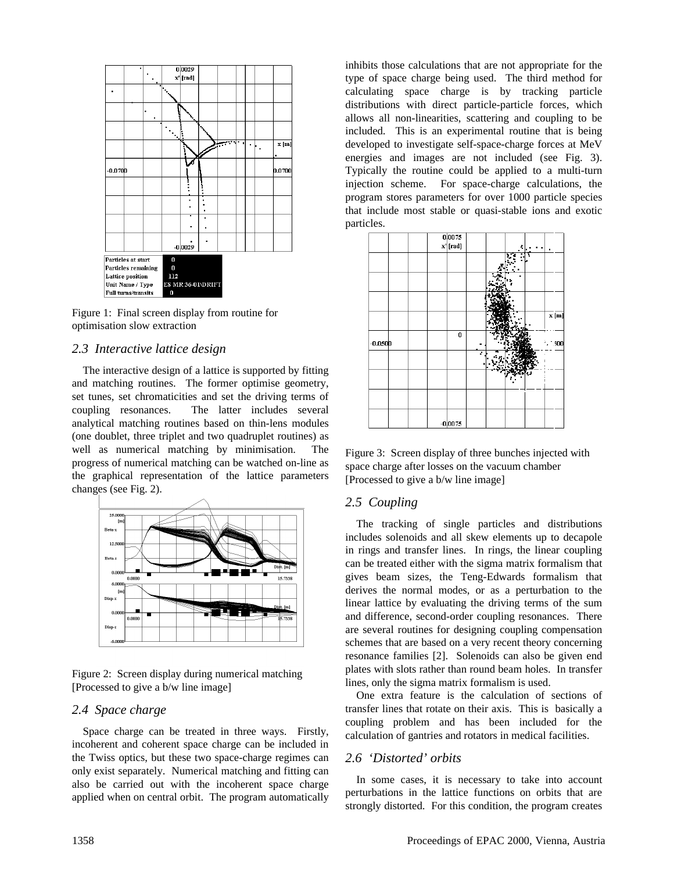

Figure 1: Final screen display from routine for optimisation slow extraction

#### *2.3 Interactive lattice design*

The interactive design of a lattice is supported by fitting and matching routines. The former optimise geometry, set tunes, set chromaticities and set the driving terms of coupling resonances. The latter includes several analytical matching routines based on thin-lens modules (one doublet, three triplet and two quadruplet routines) as well as numerical matching by minimisation. The progress of numerical matching can be watched on-line as the graphical representation of the lattice parameters changes (see Fig. 2).



Figure 2: Screen display during numerical matching [Processed to give a b/w line image]

#### *2.4 Space charge*

Space charge can be treated in three ways. Firstly, incoherent and coherent space charge can be included in the Twiss optics, but these two space-charge regimes can only exist separately. Numerical matching and fitting can also be carried out with the incoherent space charge applied when on central orbit. The program automatically inhibits those calculations that are not appropriate for the type of space charge being used. The third method for calculating space charge is by tracking particle distributions with direct particle-particle forces, which allows all non-linearities, scattering and coupling to be included. This is an experimental routine that is being developed to investigate self-space-charge forces at MeV energies and images are not included (see Fig. 3). Typically the routine could be applied to a multi-turn injection scheme. For space-charge calculations, the program stores parameters for over 1000 particle species that include most stable or quasi-stable ions and exotic particles.



Figure 3: Screen display of three bunches injected with space charge after losses on the vacuum chamber [Processed to give a b/w line image]

# *2.5 Coupling*

The tracking of single particles and distributions includes solenoids and all skew elements up to decapole in rings and transfer lines. In rings, the linear coupling can be treated either with the sigma matrix formalism that gives beam sizes, the Teng-Edwards formalism that derives the normal modes, or as a perturbation to the linear lattice by evaluating the driving terms of the sum and difference, second-order coupling resonances. There are several routines for designing coupling compensation schemes that are based on a very recent theory concerning resonance families [2]. Solenoids can also be given end plates with slots rather than round beam holes. In transfer lines, only the sigma matrix formalism is used.

One extra feature is the calculation of sections of transfer lines that rotate on their axis. This is basically a coupling problem and has been included for the calculation of gantries and rotators in medical facilities.

# *2.6 'Distorted' orbits*

In some cases, it is necessary to take into account perturbations in the lattice functions on orbits that are strongly distorted. For this condition, the program creates